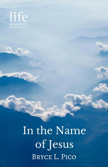

In the Name of Jesus **BRYCE L. PICO**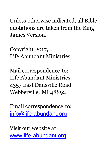Unless otherwise indicated, all Bible quotations are taken from the King James Version.

Copyright 2017, Life Abundant Ministries

Mail correspondence to: Life Abundant Ministries 4357 East Dansville Road Webberville, MI 48892

Email correspondence to: [info@life-abundant.org](mailto:info@life-abundant.org)

Visit our website at: [www.life-abundant.org](http://www.life-abundant.org/)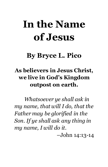# **In the Name of Jesus**

# **By Bryce L. Pico**

# **As believers in Jesus Christ, we live in God's Kingdom outpost on earth.**

*Whatsoever ye shall ask in my name, that will I do, that the Father may be glorified in the Son. If ye shall ask any thing in my name, I will do it.*

–John 14:13-14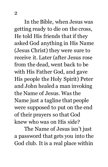In the Bible, when Jesus was getting ready to die on the cross, He told His friends that if they asked God anything in His Name (Jesus Christ) they were sure to receive it. Later (after Jesus rose from the dead, went back to be with His Father God, and gave His people the Holy Spirit) Peter and John healed a man invoking the Name of Jesus. Was the Name just a tagline that people were supposed to put on the end of their prayers so that God knew who was on His side?

The Name of Jesus isn't just a password that gets you into the God club. It is a real place within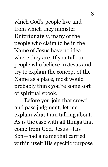which God's people live and from which they minister. Unfortunately, many of the people who claim to be in the Name of Jesus have no idea where they are. If you talk to people who believe in Jesus and try to explain the concept of the Name as a place, most would probably think you're some sort of spiritual spook.

Before you join that crowd and pass judgment, let me explain what I am talking about. As is the case with all things that come from God, Jesus—His Son—had a name that carried within itself His specific purpose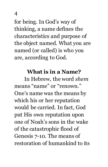for being. In God's way of thinking, a name defines the characteristics and purpose of the object named. What you are named (or called) is who you are, according to God.

### **What is in a Name?**

In Hebrew, the word *shem* means "name" or "renown." One's name was the means by which his or her reputation would be carried. In fact, God put His own reputation upon one of Noah's sons in the wake of the catastrophic flood of Genesis 7-10. The means of restoration of humankind to its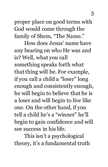proper place on good terms with God would come through the family of Shem, "The Name."

How does Jesus' name have any bearing on who He was and is? Well, what you call something speaks forth what that thing will be. For example, if you call a child a "loser" long enough and consistently enough, he will begin to believe that he is a loser and will begin to live like one. On the other hand, if you tell a child he's a "winner" he'll begin to gain confidence and will see success in his life.

This isn't a psychological theory, it's a fundamental truth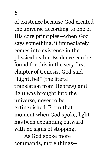of existence because God created the universe according to one of His core principles—when God says something, it immediately comes into existence in the physical realm. Evidence can be found for this in the very first chapter of Genesis. God said "Light, be!" (the literal translation from Hebrew) and light was brought into the universe, never to be extinguished. From that moment when God spoke, light has been expanding outward with no signs of stopping.

As God spoke more commands, more things—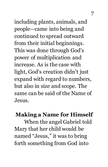including plants, animals, and people—came into being and continued to spread outward from their initial beginnings. This was done through God's power of multiplication and increase. As is the case with light, God's creation didn't just expand with regard to numbers, but also in size and scope. The same can be said of the Name of Jesus.

## **Making a Name for Himself**

When the angel Gabriel told Mary that her child would be named "Jesus," it was to bring forth something from God into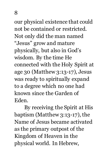our physical existence that could not be contained or restricted. Not only did the man named "Jesus" grow and mature physically, but also in God's wisdom. By the time He connected with the Holy Spirit at age 30 (Matthew 3:13-17), Jesus was ready to spiritually expand to a degree which no one had known since the Garden of Eden.

By receiving the Spirit at His baptism (Matthew 3:13-17), the Name of Jesus became activated as the primary outpost of the Kingdom of Heaven in the physical world. In Hebrew,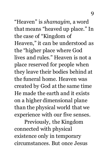"Heaven" is *shamayim*, a word that means "heaved up place." In the case of "Kingdom of Heaven," it can be understood as the "higher place where God lives and rules." Heaven is not a place reserved for people when they leave their bodies behind at the funeral home. Heaven was created by God at the same time He made the earth and it exists on a higher dimensional plane than the physical world that we experience with our five senses.

Previously, the Kingdom connected with physical existence only in temporary circumstances. But once Jesus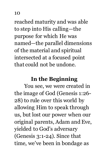reached maturity and was able to step into His calling—the purpose for which He was named—the parallel dimensions of the material and spiritual intersected at a focused point that could not be undone.

#### **In the Beginning**

You see, we were created in the image of God (Genesis 1:26- 28) to rule over this world by allowing Him to speak through us, but lost our power when our original parents, Adam and Eve, yielded to God's adversary (Genesis 3:1-24). Since that time, we've been in bondage as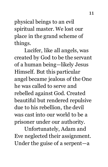physical beings to an evil spiritual master. We lost our place in the grand scheme of things.

Lucifer, like all angels, was created by God to be the servant of a human being—likely Jesus Himself. But this particular angel became jealous of the One he was called to serve and rebelled against God. Created beautiful but rendered repulsive due to his rebellion, the devil was cast into our world to be a prisoner under our authority.

Unfortunately, Adam and Eve neglected their assignment. Under the guise of a serpent—a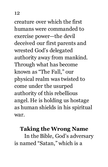creature over which the first humans were commanded to exercise power—the devil deceived our first parents and wrested God's delegated authority away from mankind. Through what has become known as "The Fall," our physical realm was twisted to come under the usurped authority of this rebellious angel. He is holding us hostage as human shields in his spiritual war.

## **Taking the Wrong Name**

In the Bible, God's adversary is named "Satan," which is a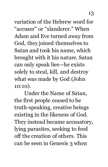variation of the Hebrew word for "accuser" or "slanderer." When Adam and Eve turned away from God, they joined themselves to Satan and took his name, which brought with it his nature. Satan can only speak lies—he exists solely to steal, kill, and destroy what was made by God (John 10:10).

Under the Name of Satan, the first people ceased to be truth-speaking, creative beings existing in the likeness of God. They instead became accusatory, lying parasites, seeking to feed off the creation of others. This can be seen in Genesis 3 when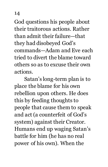God questions his people about their traitorous actions. Rather than admit their failure—that they had disobeyed God's commands—Adam and Eve each tried to divert the blame toward others so as to excuse their own actions.

Satan's long-term plan is to place the blame for his own rebellion upon others. He does this by feeding thoughts to people that cause them to speak and act (a counterfeit of God's system) against their Creator. Humans end up waging Satan's battle for him (he has no real power of his own). When the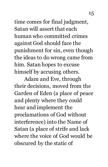time comes for final judgment, Satan will assert that each human who committed crimes against God should face the punishment for sin, even though the ideas to do wrong came from him. Satan hopes to excuse himself by accusing others.

Adam and Eve, through their decisions, moved from the Garden of Eden (a place of peace and plenty where they could hear and implement the proclamations of God without interference) into the Name of Satan (a place of strife and lack where the voice of God would be obscured by the static of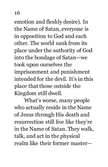emotion and fleshly desire). In the Name of Satan, everyone is in opposition to God and each other. The world sank from its place under the authority of God into the bondage of Satan—we took upon ourselves the imprisonment and punishment intended for the devil. It's in this place that those outside the Kingdom still dwell.

What's worse, many people who actually reside in the Name of Jesus through His death and resurrection still live like they're in the Name of Satan. They walk, talk, and act in the physical realm like their former master—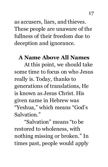as accusers, liars, and thieves. These people are unaware of the fullness of their freedom due to deception and ignorance.

#### **A Name Above All Names**

At this point, we should take some time to focus on who Jesus really is. Today, thanks to generations of translations, He is known as Jesus Christ. His given name in Hebrew was "Yeshua," which means "God's Salvation."

"Salvation" means "to be restored to wholeness, with nothing missing or broken." In times past, people would apply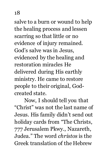salve to a burn or wound to help the healing process and lessen scarring so that little or no evidence of injury remained. God's salve was in Jesus, evidenced by the healing and restoration miracles He delivered during His earthly ministry. He came to restore people to their original, Godcreated state.

Now, I should tell you that "Christ" was not the last name of Jesus. His family didn't send out holiday cards from "The Christs, 777 Jerusalem Pkwy., Nazareth, Judea." The word *christos* is the Greek translation of the Hebrew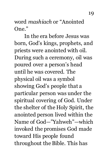word *mashiach* or "Anointed One."

In the era before Jesus was born, God's kings, prophets, and priests were anointed with oil. During such a ceremony, oil was poured over a person's head until he was covered. The physical oil was a symbol showing God's people that a particular person was under the spiritual covering of God. Under the shelter of the Holy Spirit, the anointed person lived within the Name of God—"Yahweh"—which invoked the promises God made toward His people found throughout the Bible. This has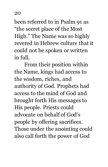been referred to in Psalm 91 as "the secret place of the Most High." The Name was so highly revered in Hebrew culture that it could not be spoken or written in full.

From their position within the Name, kings had access to the wisdom, riches, and authority of God. Prophets had access to the mind of God and brought forth His messages to His people. Priests could advocate on behalf of God's people by offering sacrifices. Those under the anointing could also call forth the power of God

20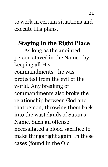to work in certain situations and execute His plans.

# **Staying in the Right Place**

As long as the anointed person stayed in the Name—by keeping all His commandments—he was protected from the evil of the world. Any breaking of commandments also broke the relationship between God and that person, throwing them back into the wastelands of Satan's Name. Such an offense necessitated a blood sacrifice to make things right again. In these cases (found in the Old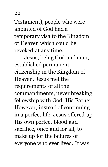Testament), people who were anointed of God had a temporary visa to the Kingdom of Heaven which could be revoked at any time.

Jesus, being God and man, established permanent citizenship in the Kingdom of Heaven. Jesus met the requirements of all the commandments, never breaking fellowship with God, His Father. However, instead of continuing in a perfect life, Jesus offered up His own perfect blood as a sacrifice, once and for all, to make up for the failures of everyone who ever lived. It was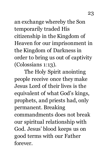an exchange whereby the Son temporarily traded His citizenship in the Kingdom of Heaven for our imprisonment in the Kingdom of Darkness in order to bring us out of captivity (Colossians 1:13).

The Holy Spirit anointing people receive once they make Jesus Lord of their lives is the equivalent of what God's kings, prophets, and priests had, only permanent. Breaking commandments does not break our spiritual relationship with God. Jesus' blood keeps us on good terms with our Father forever.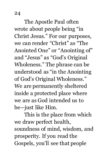The Apostle Paul often wrote about people being "in Christ Jesus." For our purposes, we can render "Christ" as "The Anointed One" or "Anointing of" and "Jesus" as "God's Original Wholeness." The phrase can be understood as "in the Anointing of God's Original Wholeness." We are permanently sheltered inside a protected place where we are as God intended us to be—just like Him.

This is the place from which we draw perfect health, soundness of mind, wisdom, and prosperity. If you read the Gospels, you'll see that people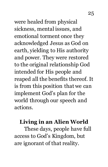were healed from physical sickness, mental issues, and emotional torment once they acknowledged Jesus as God on earth, yielding to His authority and power. They were restored to the original relationship God intended for His people and

reaped all the benefits thereof. It is from this position that we can implement God's plan for the world through our speech and actions.

# **Living in an Alien World**

These days, people have full access to God's Kingdom, but are ignorant of that reality.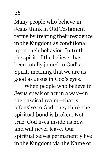Many people who believe in Jesus think in Old Testament terms by treating their residence in the Kingdom as conditional upon their behavior. In truth, the spirit of the believer has been totally joined to God's Spirit, meaning that we are as good as Jesus in God's eyes.

When people who believe in Jesus speak or act in a way—in the physical realm—that is offensive to God, they think the spiritual bond is broken. Not true. God lives inside us now and will never leave. Our spiritual selves permanently live in the Kingdom via the Name of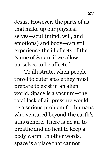Jesus. However, the parts of us that make up our physical selves—soul (mind, will, and emotions) and body—can still experience the ill effects of the Name of Satan, if we allow ourselves to be affected.

To illustrate, when people travel to outer space they must prepare to exist in an alien world. Space is a vacuum—the total lack of air pressure would be a serious problem for humans who ventured beyond the earth's atmosphere. There is no air to breathe and no heat to keep a body warm. In other words, space is a place that cannot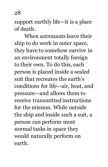support earthly life—it is a place of death.

When astronauts leave their ship to do work in outer space, they have to somehow survive in an environment totally foreign to their own. To do this, each person is placed inside a sealed suit that recreates the earth's conditions for life—air, heat, and pressure—and allows them to receive transmitted instructions for the mission. While outside the ship and inside such a suit, a person can perform most normal tasks in space they would naturally perform on earth.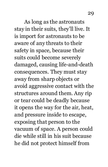As long as the astronauts stay in their suits, they'll live. It is import for astronauts to be aware of any threats to their safety in space, because their suits could become severely damaged, causing life-and-death consequences. They must stay away from sharp objects or avoid aggressive contact with the structures around them. Any rip or tear could be deadly because it opens the way for the air, heat, and pressure inside to escape, exposing that person to the vacuum of space. A person could die while still in his suit because he did not protect himself from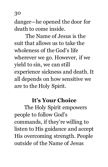danger—he opened the door for death to come inside.

The Name of Jesus is the suit that allows us to take the wholeness of the God's life wherever we go. However, if we yield to sin, we can still experience sickness and death. It all depends on how sensitive we are to the Holy Spirit.

#### **It's Your Choice**

The Holy Spirit empowers people to follow God's commands, if they're willing to listen to His guidance and accept His overcoming strength. People outside of the Name of Jesus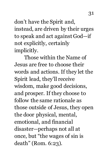don't have the Spirit and, instead, are driven by their urges to speak and act against God—if not explicitly, certainly implicitly.

Those within the Name of Jesus are free to choose their words and actions. If they let the Spirit lead, they'll receive wisdom, make good decisions, and prosper. If they choose to follow the same rationale as those outside of Jesus, they open the door physical, mental, emotional, and financial disaster—perhaps not all at once, but "the wages of sin is death" (Rom. 6:23).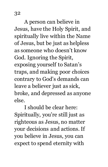A person can believe in Jesus, have the Holy Spirit, and spiritually live within the Name of Jesus, but be just as helpless as someone who doesn't know God. Ignoring the Spirit, exposing yourself to Satan's traps, and making poor choices contrary to God's demands can leave a believer just as sick, broke, and depressed as anyone else.

I should be clear here: Spiritually, you're still just as righteous as Jesus, no matter your decisions and actions. If you believe in Jesus, you can expect to spend eternity with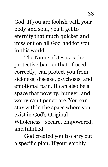God. If you are foolish with your body and soul, you'll get to eternity that much quicker and miss out on all God had for you in this world.

The Name of Jesus is the protective barrier that, if used correctly, can protect you from sickness, disease, psychosis, and emotional pain. It can also be a space that poverty, hunger, and worry can't penetrate. You can stay within the space where you exist in God's Original Wholeness—secure, empowered,

and fulfilled

God created you to carry out a specific plan. If your earthly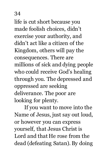life is cut short because you made foolish choices, didn't exercise your authority, and didn't act like a citizen of the Kingdom, others will pay the consequences. There are millions of sick and dying people who could receive God's healing through you. The depressed and oppressed are seeking deliverance. The poor are looking for plenty.

If you want to move into the Name of Jesus, just say out loud, or however you can express yourself, that Jesus Christ is Lord and that He rose from the dead (defeating Satan). By doing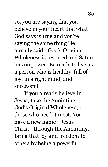so, you are saying that you believe in your heart that what God says is true and you're saying the same thing He already said—God's Original Wholeness is restored and Satan has no power. Be ready to live as a person who is healthy, full of joy, in a right mind, and

successful.

If you already believe in Jesus, take the Anointing of God's Original Wholeness, to those who need it most. You have a new name—Jesus Christ—through the Anointing. Bring that joy and freedom to others by being a powerful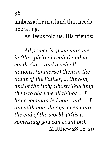ambassador in a land that needs liberating.

As Jesus told us, His friends:

*All power is given unto me in (the spiritual realm) and in earth. Go … and teach all nations, (immerse) them in the name of the Father, … the Son, and of the Holy Ghost: Teaching them to observe all things … I have commanded you: and … I am with you always, even unto the end of the world. (This is something you can count on).* –Matthew 28:18-20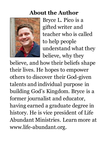### **About the Author**



Bryce L. Pico is a gifted writer and teacher who is called to help people understand what they believe, why they

believe, and how their beliefs shape their lives. He hopes to empower others to discover their God-given talents and individual purpose in building God's Kingdom. Bryce is a former journalist and educator, having earned a graduate degree in history. He is vice president of Life Abundant Ministries. Learn more at www.life-abundant.org.